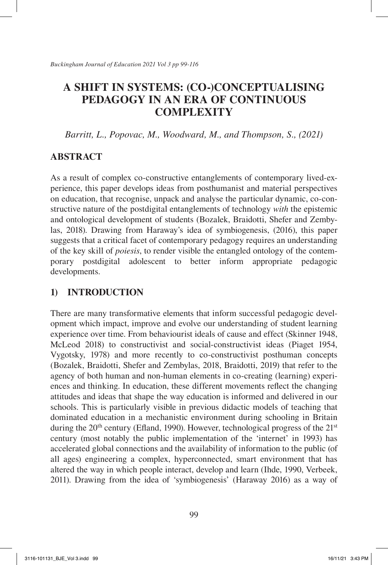*Barritt, L., Popovac, M., Woodward, M., and Thompson, S., (2021)*

# **ABSTRACT**

As a result of complex co-constructive entanglements of contemporary lived-experience, this paper develops ideas from posthumanist and material perspectives on education, that recognise, unpack and analyse the particular dynamic, co-constructive nature of the postdigital entanglements of technology *with* the epistemic and ontological development of students (Bozalek, Braidotti, Shefer and Zembylas, 2018). Drawing from Haraway's idea of symbiogenesis, (2016), this paper suggests that a critical facet of contemporary pedagogy requires an understanding of the key skill of *poiesis*, to render visible the entangled ontology of the contemporary postdigital adolescent to better inform appropriate pedagogic developments.

# **1) INTRODUCTION**

There are many transformative elements that inform successful pedagogic development which impact, improve and evolve our understanding of student learning experience over time. From behaviourist ideals of cause and effect (Skinner 1948, McLeod 2018) to constructivist and social-constructivist ideas (Piaget 1954, Vygotsky, 1978) and more recently to co-constructivist posthuman concepts (Bozalek, Braidotti, Shefer and Zembylas, 2018, Braidotti, 2019) that refer to the agency of both human and non-human elements in co-creating (learning) experiences and thinking. In education, these different movements reflect the changing attitudes and ideas that shape the way education is informed and delivered in our schools. This is particularly visible in previous didactic models of teaching that dominated education in a mechanistic environment during schooling in Britain during the  $20<sup>th</sup>$  century (Efland, 1990). However, technological progress of the  $21<sup>st</sup>$ century (most notably the public implementation of the 'internet' in 1993) has accelerated global connections and the availability of information to the public (of all ages) engineering a complex, hyperconnected, smart environment that has altered the way in which people interact, develop and learn (Ihde, 1990, Verbeek, 2011). Drawing from the idea of 'symbiogenesis' (Haraway 2016) as a way of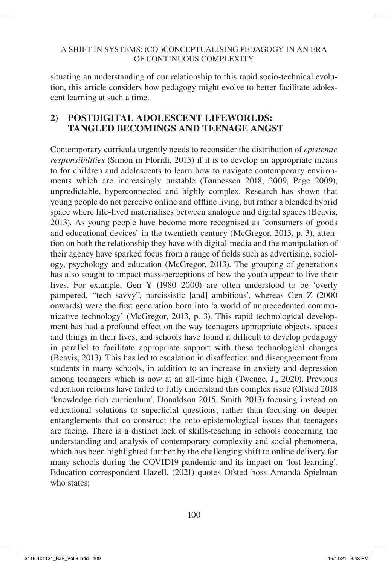situating an understanding of our relationship to this rapid socio-technical evolution, this article considers how pedagogy might evolve to better facilitate adolescent learning at such a time.

## **2) POSTDIGITAL ADOLESCENT LIFEWORLDS: TANGLED BECOMINGS AND TEENAGE ANGST**

Contemporary curricula urgently needs to reconsider the distribution of *epistemic responsibilities* (Simon in Floridi, 2015) if it is to develop an appropriate means to for children and adolescents to learn how to navigate contemporary environments which are increasingly unstable (Tønnessen 2018, 2009, Page 2009), unpredictable, hyperconnected and highly complex. Research has shown that young people do not perceive online and offline living, but rather a blended hybrid space where life-lived materialises between analogue and digital spaces (Beavis, 2013). As young people have become more recognised as 'consumers of goods and educational devices' in the twentieth century (McGregor, 2013, p. 3), attention on both the relationship they have with digital-media and the manipulation of their agency have sparked focus from a range of fields such as advertising, sociology, psychology and education (McGregor, 2013). The grouping of generations has also sought to impact mass-perceptions of how the youth appear to live their lives. For example, Gen Y (1980–2000) are often understood to be 'overly pampered, "tech savvy", narcissistic [and] ambitious', whereas Gen Z (2000 onwards) were the first generation born into 'a world of unprecedented communicative technology' (McGregor, 2013, p. 3). This rapid technological development has had a profound effect on the way teenagers appropriate objects, spaces and things in their lives, and schools have found it difficult to develop pedagogy in parallel to facilitate appropriate support with these technological changes (Beavis, 2013). This has led to escalation in disaffection and disengagement from students in many schools, in addition to an increase in anxiety and depression among teenagers which is now at an all-time high (Twenge, J., 2020). Previous education reforms have failed to fully understand this complex issue (Ofsted 2018 'knowledge rich curriculum', Donaldson 2015, Smith 2013) focusing instead on educational solutions to superficial questions, rather than focusing on deeper entanglements that co-construct the onto-epistemological issues that teenagers are facing. There is a distinct lack of skills-teaching in schools concerning the understanding and analysis of contemporary complexity and social phenomena, which has been highlighted further by the challenging shift to online delivery for many schools during the COVID19 pandemic and its impact on 'lost learning'. Education correspondent Hazell, (2021) quotes Ofsted boss Amanda Spielman who states;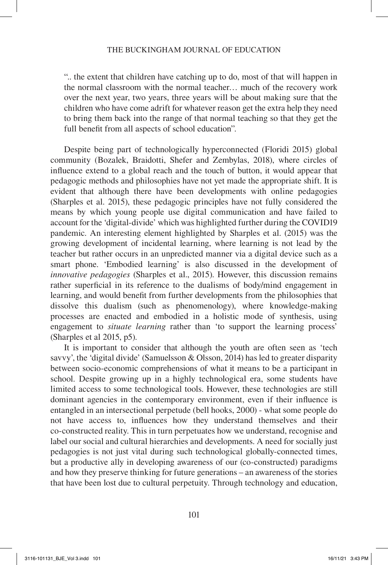".. the extent that children have catching up to do, most of that will happen in the normal classroom with the normal teacher… much of the recovery work over the next year, two years, three years will be about making sure that the children who have come adrift for whatever reason get the extra help they need to bring them back into the range of that normal teaching so that they get the full benefit from all aspects of school education".

Despite being part of technologically hyperconnected (Floridi 2015) global community (Bozalek, Braidotti, Shefer and Zembylas, 2018), where circles of influence extend to a global reach and the touch of button, it would appear that pedagogic methods and philosophies have not yet made the appropriate shift. It is evident that although there have been developments with online pedagogies (Sharples et al. 2015), these pedagogic principles have not fully considered the means by which young people use digital communication and have failed to account for the 'digital-divide' which was highlighted further during the COVID19 pandemic. An interesting element highlighted by Sharples et al. (2015) was the growing development of incidental learning, where learning is not lead by the teacher but rather occurs in an unpredicted manner via a digital device such as a smart phone. 'Embodied learning' is also discussed in the development of *innovative pedagogies* (Sharples et al., 2015). However, this discussion remains rather superficial in its reference to the dualisms of body/mind engagement in learning, and would benefit from further developments from the philosophies that dissolve this dualism (such as phenomenology), where knowledge-making processes are enacted and embodied in a holistic mode of synthesis, using engagement to *situate learning* rather than 'to support the learning process' (Sharples et al 2015, p5).

It is important to consider that although the youth are often seen as 'tech savvy', the 'digital divide' (Samuelsson & Olsson, 2014) has led to greater disparity between socio-economic comprehensions of what it means to be a participant in school. Despite growing up in a highly technological era, some students have limited access to some technological tools. However, these technologies are still dominant agencies in the contemporary environment, even if their influence is entangled in an intersectional perpetude (bell hooks, 2000) - what some people do not have access to, influences how they understand themselves and their co-constructed reality. This in turn perpetuates how we understand, recognise and label our social and cultural hierarchies and developments. A need for socially just pedagogies is not just vital during such technological globally-connected times, but a productive ally in developing awareness of our (co-constructed) paradigms and how they preserve thinking for future generations – an awareness of the stories that have been lost due to cultural perpetuity. Through technology and education,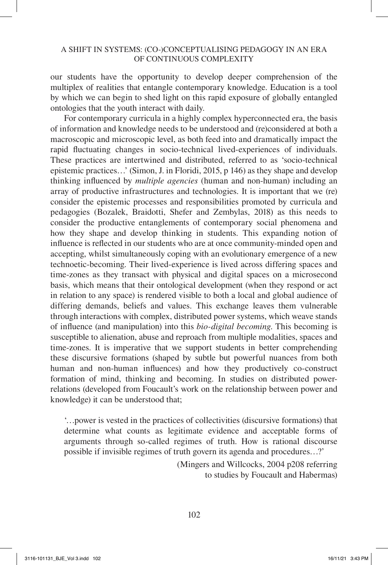our students have the opportunity to develop deeper comprehension of the multiplex of realities that entangle contemporary knowledge. Education is a tool by which we can begin to shed light on this rapid exposure of globally entangled ontologies that the youth interact with daily.

For contemporary curricula in a highly complex hyperconnected era, the basis of information and knowledge needs to be understood and (re)considered at both a macroscopic and microscopic level, as both feed into and dramatically impact the rapid fluctuating changes in socio-technical lived-experiences of individuals. These practices are intertwined and distributed, referred to as 'socio-technical epistemic practices…' (Simon, J. in Floridi, 2015, p 146) as they shape and develop thinking influenced by *multiple agencies* (human and non-human) including an array of productive infrastructures and technologies. It is important that we (re) consider the epistemic processes and responsibilities promoted by curricula and pedagogies (Bozalek, Braidotti, Shefer and Zembylas, 2018) as this needs to consider the productive entanglements of contemporary social phenomena and how they shape and develop thinking in students. This expanding notion of influence is reflected in our students who are at once community-minded open and accepting, whilst simultaneously coping with an evolutionary emergence of a new technoetic-becoming. Their lived-experience is lived across differing spaces and time-zones as they transact with physical and digital spaces on a microsecond basis, which means that their ontological development (when they respond or act in relation to any space) is rendered visible to both a local and global audience of differing demands, beliefs and values. This exchange leaves them vulnerable through interactions with complex, distributed power systems, which weave stands of influence (and manipulation) into this *bio-digital becoming*. This becoming is susceptible to alienation, abuse and reproach from multiple modalities, spaces and time-zones. It is imperative that we support students in better comprehending these discursive formations (shaped by subtle but powerful nuances from both human and non-human influences) and how they productively co-construct formation of mind, thinking and becoming. In studies on distributed powerrelations (developed from Foucault's work on the relationship between power and knowledge) it can be understood that;

'…power is vested in the practices of collectivities (discursive formations) that determine what counts as legitimate evidence and acceptable forms of arguments through so-called regimes of truth. How is rational discourse possible if invisible regimes of truth govern its agenda and procedures…?'

> (Mingers and Willcocks, 2004 p208 referring to studies by Foucault and Habermas)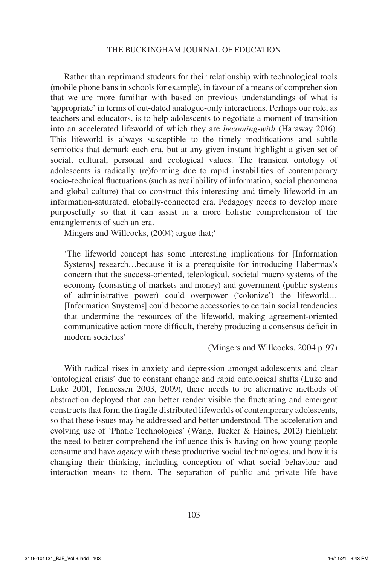Rather than reprimand students for their relationship with technological tools (mobile phone bans in schools for example), in favour of a means of comprehension that we are more familiar with based on previous understandings of what is 'appropriate' in terms of out-dated analogue-only interactions. Perhaps our role, as teachers and educators, is to help adolescents to negotiate a moment of transition into an accelerated lifeworld of which they are *becoming-with* (Haraway 2016). This lifeworld is always susceptible to the timely modifications and subtle semiotics that demark each era, but at any given instant highlight a given set of social, cultural, personal and ecological values. The transient ontology of adolescents is radically (re)forming due to rapid instabilities of contemporary socio-technical fluctuations (such as availability of information, social phenomena and global-culture) that co-construct this interesting and timely lifeworld in an information-saturated, globally-connected era. Pedagogy needs to develop more purposefully so that it can assist in a more holistic comprehension of the entanglements of such an era.

Mingers and Willcocks, (2004) argue that;

'The lifeworld concept has some interesting implications for [Information Systems] research…because it is a prerequisite for introducing Habermas's concern that the success-oriented, teleological, societal macro systems of the economy (consisting of markets and money) and government (public systems of administrative power) could overpower ('colonize') the lifeworld… [Information Suystems] could become accessories to certain social tendencies that undermine the resources of the lifeworld, making agreement-oriented communicative action more difficult, thereby producing a consensus deficit in modern societies'

(Mingers and Willcocks, 2004 p197)

With radical rises in anxiety and depression amongst adolescents and clear 'ontological crisis' due to constant change and rapid ontological shifts (Luke and Luke 2001, Tønnessen 2003, 2009), there needs to be alternative methods of abstraction deployed that can better render visible the fluctuating and emergent constructs that form the fragile distributed lifeworlds of contemporary adolescents, so that these issues may be addressed and better understood. The acceleration and evolving use of 'Phatic Technologies' (Wang, Tucker & Haines, 2012) highlight the need to better comprehend the influence this is having on how young people consume and have *agency* with these productive social technologies, and how it is changing their thinking, including conception of what social behaviour and interaction means to them. The separation of public and private life have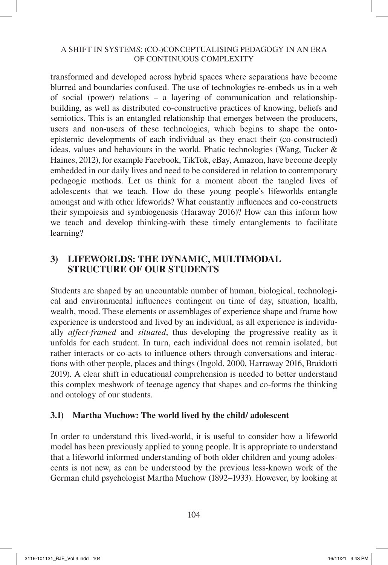transformed and developed across hybrid spaces where separations have become blurred and boundaries confused. The use of technologies re-embeds us in a web of social (power) relations – a layering of communication and relationshipbuilding, as well as distributed co-constructive practices of knowing, beliefs and semiotics. This is an entangled relationship that emerges between the producers, users and non-users of these technologies, which begins to shape the ontoepistemic developments of each individual as they enact their (co-constructed) ideas, values and behaviours in the world. Phatic technologies (Wang, Tucker  $\&$ Haines, 2012), for example Facebook, TikTok, eBay, Amazon, have become deeply embedded in our daily lives and need to be considered in relation to contemporary pedagogic methods. Let us think for a moment about the tangled lives of adolescents that we teach. How do these young people's lifeworlds entangle amongst and with other lifeworlds? What constantly influences and co-constructs their sympoiesis and symbiogenesis (Haraway 2016)? How can this inform how we teach and develop thinking-with these timely entanglements to facilitate learning?

## **3) LIFEWORLDS: THE DYNAMIC, MULTIMODAL STRUCTURE OF OUR STUDENTS**

Students are shaped by an uncountable number of human, biological, technological and environmental influences contingent on time of day, situation, health, wealth, mood. These elements or assemblages of experience shape and frame how experience is understood and lived by an individual, as all experience is individually *affect-framed* and *situated*, thus developing the progressive reality as it unfolds for each student. In turn, each individual does not remain isolated, but rather interacts or co-acts to influence others through conversations and interactions with other people, places and things (Ingold, 2000, Harraway 2016, Braidotti 2019). A clear shift in educational comprehension is needed to better understand this complex meshwork of teenage agency that shapes and co-forms the thinking and ontology of our students.

## **3.1) Martha Muchow: The world lived by the child/ adolescent**

In order to understand this lived-world, it is useful to consider how a lifeworld model has been previously applied to young people. It is appropriate to understand that a lifeworld informed understanding of both older children and young adolescents is not new, as can be understood by the previous less-known work of the German child psychologist Martha Muchow (1892–1933). However, by looking at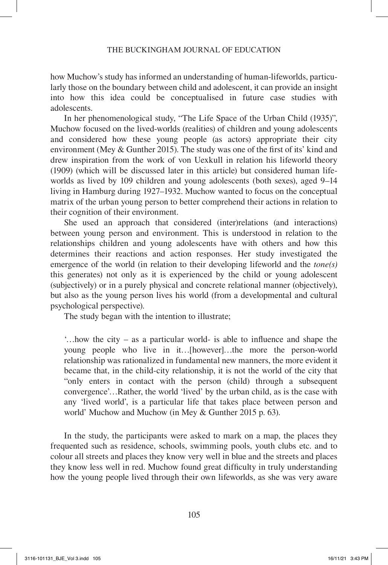how Muchow's study has informed an understanding of human-lifeworlds, particularly those on the boundary between child and adolescent, it can provide an insight into how this idea could be conceptualised in future case studies with adolescents.

In her phenomenological study, "The Life Space of the Urban Child (1935)", Muchow focused on the lived-worlds (realities) of children and young adolescents and considered how these young people (as actors) appropriate their city environment (Mey & Gunther 2015). The study was one of the first of its' kind and drew inspiration from the work of von Uexkull in relation his lifeworld theory (1909) (which will be discussed later in this article) but considered human lifeworlds as lived by 109 children and young adolescents (both sexes), aged 9–14 living in Hamburg during 1927–1932. Muchow wanted to focus on the conceptual matrix of the urban young person to better comprehend their actions in relation to their cognition of their environment.

She used an approach that considered (inter)relations (and interactions) between young person and environment. This is understood in relation to the relationships children and young adolescents have with others and how this determines their reactions and action responses. Her study investigated the emergence of the world (in relation to their developing lifeworld and the *tone(s)* this generates) not only as it is experienced by the child or young adolescent (subjectively) or in a purely physical and concrete relational manner (objectively), but also as the young person lives his world (from a developmental and cultural psychological perspective).

The study began with the intention to illustrate;

'…how the city – as a particular world- is able to influence and shape the young people who live in it…[however]…the more the person-world relationship was rationalized in fundamental new manners, the more evident it became that, in the child-city relationship, it is not the world of the city that "only enters in contact with the person (child) through a subsequent convergence'…Rather, the world 'lived' by the urban child, as is the case with any 'lived world', is a particular life that takes place between person and world' Muchow and Muchow (in Mey & Gunther 2015 p. 63).

In the study, the participants were asked to mark on a map, the places they frequented such as residence, schools, swimming pools, youth clubs etc. and to colour all streets and places they know very well in blue and the streets and places they know less well in red. Muchow found great difficulty in truly understanding how the young people lived through their own lifeworlds, as she was very aware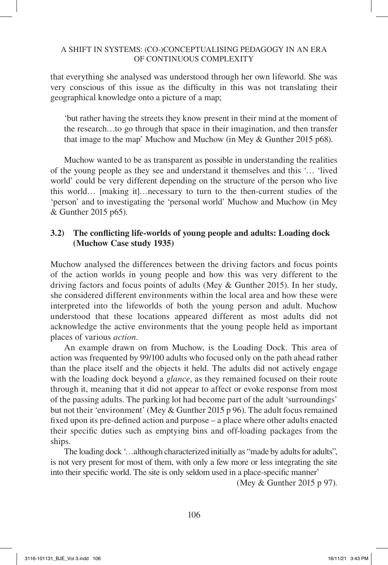that everything she analysed was understood through her own lifeworld. She was very conscious of this issue as the difficulty in this was not translating their geographical knowledge onto a picture of a map;

'but rather having the streets they know present in their mind at the moment of the research…to go through that space in their imagination, and then transfer that image to the map' Muchow and Muchow (in Mey & Gunther 2015 p68).

Muchow wanted to be as transparent as possible in understanding the realities of the young people as they see and understand it themselves and this '… 'lived world' could be very different depending on the structure of the person who live this world… [making it]…necessary to turn to the then-current studies of the 'person' and to investigating the 'personal world' Muchow and Muchow (in Mey & Gunther 2015 p65).

### **3.2) The conflicting life-worlds of young people and adults: Loading dock (Muchow Case study 1935)**

Muchow analysed the differences between the driving factors and focus points of the action worlds in young people and how this was very different to the driving factors and focus points of adults (Mey & Gunther 2015). In her study, she considered different environments within the local area and how these were interpreted into the lifeworlds of both the young person and adult. Muchow understood that these locations appeared different as most adults did not acknowledge the active environments that the young people held as important places of various *action.*

An example drawn on from Muchow, is the Loading Dock. This area of action was frequented by 99/100 adults who focused only on the path ahead rather than the place itself and the objects it held. The adults did not actively engage with the loading dock beyond a *glance*, as they remained focused on their route through it, meaning that it did not appear to affect or evoke response from most of the passing adults. The parking lot had become part of the adult 'surroundings' but not their 'environment' (Mey & Gunther 2015 p 96). The adult focus remained fixed upon its pre-defined action and purpose – a place where other adults enacted their specific duties such as emptying bins and off-loading packages from the ships.

The loading dock '…although characterized initially as "made by adults for adults", is not very present for most of them, with only a few more or less integrating the site into their specific world. The site is only seldom used in a place-specific manner'

(Mey & Gunther 2015 p 97).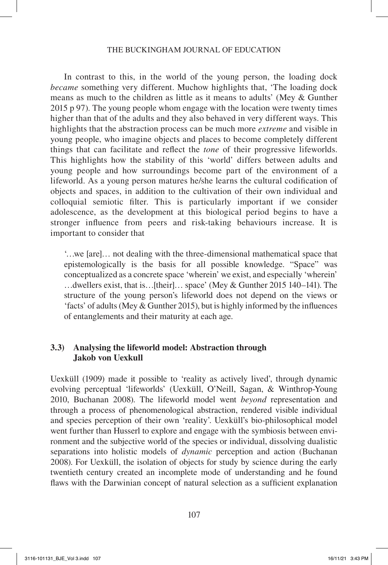In contrast to this, in the world of the young person, the loading dock *became* something very different. Muchow highlights that, 'The loading dock means as much to the children as little as it means to adults' (Mey & Gunther 2015 p 97). The young people whom engage with the location were twenty times higher than that of the adults and they also behaved in very different ways. This highlights that the abstraction process can be much more *extreme* and visible in young people, who imagine objects and places to become completely different things that can facilitate and reflect the *tone* of their progressive lifeworlds. This highlights how the stability of this 'world' differs between adults and young people and how surroundings become part of the environment of a lifeworld. As a young person matures he/she learns the cultural codification of objects and spaces, in addition to the cultivation of their own individual and colloquial semiotic filter. This is particularly important if we consider adolescence, as the development at this biological period begins to have a stronger influence from peers and risk-taking behaviours increase. It is important to consider that

'…we [are]… not dealing with the three-dimensional mathematical space that epistemologically is the basis for all possible knowledge. "Space" was conceptualized as a concrete space 'wherein' we exist, and especially 'wherein' …dwellers exist, that is…[their]… space' (Mey & Gunther 2015 140–141). The structure of the young person's lifeworld does not depend on the views or 'facts' of adults (Mey & Gunther 2015), but is highly informed by the influences of entanglements and their maturity at each age.

### **3.3) Analysing the lifeworld model: Abstraction through Jakob von Uexkull**

Uexküll (1909) made it possible to 'reality as actively lived', through dynamic evolving perceptual 'lifeworlds' (Uexküll, O'Neill, Sagan, & Winthrop-Young 2010, Buchanan 2008). The lifeworld model went *beyond* representation and through a process of phenomenological abstraction, rendered visible individual and species perception of their own 'reality'. Uexküll's bio-philosophical model went further than Husserl to explore and engage with the symbiosis between environment and the subjective world of the species or individual, dissolving dualistic separations into holistic models of *dynamic* perception and action (Buchanan 2008). For Uexküll, the isolation of objects for study by science during the early twentieth century created an incomplete mode of understanding and he found flaws with the Darwinian concept of natural selection as a sufficient explanation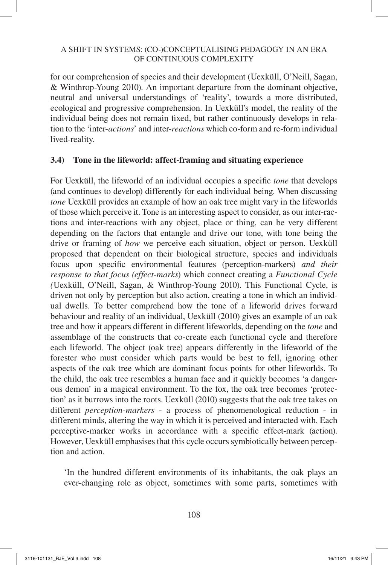for our comprehension of species and their development (Uexküll, O'Neill, Sagan, & Winthrop-Young 2010). An important departure from the dominant objective, neutral and universal understandings of 'reality', towards a more distributed, ecological and progressive comprehension. In Uexküll's model, the reality of the individual being does not remain fixed, but rather continuously develops in relation to the 'inter-*actions*' and inter-*reactions* which co-form and re-form individual lived-reality.

### **3.4) Tone in the lifeworld: affect-framing and situating experience**

For Uexküll, the lifeworld of an individual occupies a specific *tone* that develops (and continues to develop) differently for each individual being. When discussing *tone* Uexküll provides an example of how an oak tree might vary in the lifeworlds of those which perceive it. Tone is an interesting aspect to consider, as our inter-ractions and inter-reactions with any object, place or thing, can be very different depending on the factors that entangle and drive our tone, with tone being the drive or framing of *how* we perceive each situation, object or person. Uexküll proposed that dependent on their biological structure, species and individuals focus upon specific environmental features (perception-markers) *and their response to that focus (effect-marks*) which connect creating a *Functional Cycle (*Uexküll, O'Neill, Sagan, & Winthrop-Young 2010). This Functional Cycle, is driven not only by perception but also action, creating a tone in which an individual dwells. To better comprehend how the tone of a lifeworld drives forward behaviour and reality of an individual, Uexküll (2010) gives an example of an oak tree and how it appears different in different lifeworlds, depending on the *tone* and assemblage of the constructs that co-create each functional cycle and therefore each lifeworld. The object (oak tree) appears differently in the lifeworld of the forester who must consider which parts would be best to fell, ignoring other aspects of the oak tree which are dominant focus points for other lifeworlds. To the child, the oak tree resembles a human face and it quickly becomes 'a dangerous demon' in a magical environment. To the fox, the oak tree becomes 'protection' as it burrows into the roots. Uexküll (2010) suggests that the oak tree takes on different *perception-markers* - a process of phenomenological reduction - in different minds, altering the way in which it is perceived and interacted with. Each perceptive-marker works in accordance with a specific effect-mark (action). However, Uexküll emphasises that this cycle occurs symbiotically between perception and action.

'In the hundred different environments of its inhabitants, the oak plays an ever-changing role as object, sometimes with some parts, sometimes with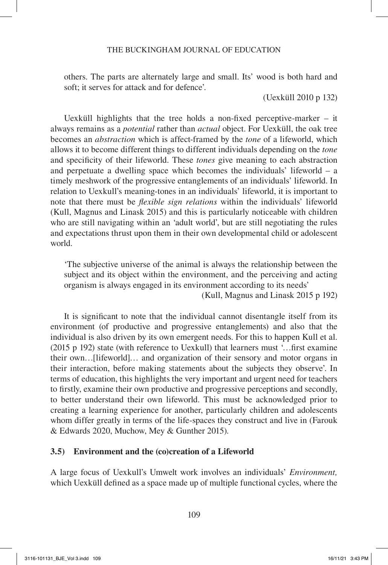others. The parts are alternately large and small. Its' wood is both hard and soft; it serves for attack and for defence'.

(Uexküll 2010 p 132)

Uexküll highlights that the tree holds a non-fixed perceptive-marker – it always remains as a *potential* rather than *actual* object. For Uexküll, the oak tree becomes an *abstraction* which is affect-framed by the *tone* of a lifeworld, which allows it to become different things to different individuals depending on the *tone* and specificity of their lifeworld. These *tones* give meaning to each abstraction and perpetuate a dwelling space which becomes the individuals' lifeworld – a timely meshwork of the progressive entanglements of an individuals' lifeworld. In relation to Uexkull's meaning-tones in an individuals' lifeworld, it is important to note that there must be *flexible sign relations* within the individuals' lifeworld (Kull, Magnus and Linask 2015) and this is particularly noticeable with children who are still navigating within an 'adult world', but are still negotiating the rules and expectations thrust upon them in their own developmental child or adolescent world.

'The subjective universe of the animal is always the relationship between the subject and its object within the environment, and the perceiving and acting organism is always engaged in its environment according to its needs'

(Kull, Magnus and Linask 2015 p 192)

It is significant to note that the individual cannot disentangle itself from its environment (of productive and progressive entanglements) and also that the individual is also driven by its own emergent needs. For this to happen Kull et al. (2015 p 192) state (with reference to Uexkull) that learners must '…first examine their own…[lifeworld]… and organization of their sensory and motor organs in their interaction, before making statements about the subjects they observe'. In terms of education, this highlights the very important and urgent need for teachers to firstly, examine their own productive and progressive perceptions and secondly, to better understand their own lifeworld. This must be acknowledged prior to creating a learning experience for another, particularly children and adolescents whom differ greatly in terms of the life-spaces they construct and live in (Farouk & Edwards 2020, Muchow, Mey & Gunther 2015).

### **3.5) Environment and the (co)creation of a Lifeworld**

A large focus of Uexkull's Umwelt work involves an individuals' *Environment,* which Uexküll defined as a space made up of multiple functional cycles, where the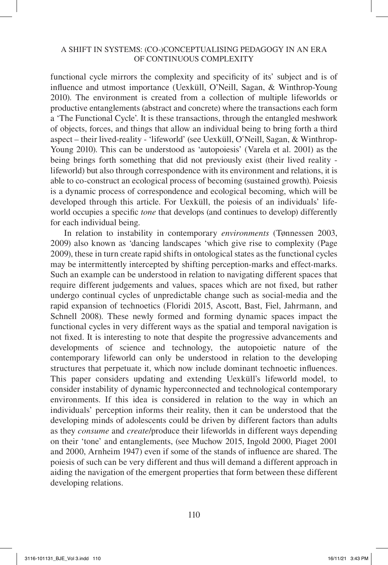functional cycle mirrors the complexity and specificity of its' subject and is of influence and utmost importance (Uexküll, O'Neill, Sagan, & Winthrop-Young 2010). The environment is created from a collection of multiple lifeworlds or productive entanglements (abstract and concrete) where the transactions each form a 'The Functional Cycle'. It is these transactions, through the entangled meshwork of objects, forces, and things that allow an individual being to bring forth a third aspect – their lived-reality - 'lifeworld' (see Uexküll, O'Neill, Sagan, & Winthrop-Young 2010). This can be understood as 'autopoiesis' (Varela et al. 2001) as the being brings forth something that did not previously exist (their lived reality lifeworld) but also through correspondence with its environment and relations, it is able to co-construct an ecological process of becoming (sustained growth). Poiesis is a dynamic process of correspondence and ecological becoming, which will be developed through this article. For Uexküll, the poiesis of an individuals' lifeworld occupies a specific *tone* that develops (and continues to develop) differently for each individual being.

In relation to instability in contemporary *environments* (Tønnessen 2003, 2009) also known as 'dancing landscapes 'which give rise to complexity (Page 2009), these in turn create rapid shifts in ontological states as the functional cycles may be intermittently intercepted by shifting perception-marks and effect-marks. Such an example can be understood in relation to navigating different spaces that require different judgements and values, spaces which are not fixed, but rather undergo continual cycles of unpredictable change such as social-media and the rapid expansion of technoetics (Floridi 2015, Ascott, Bast, Fiel, Jahrmann, and Schnell 2008). These newly formed and forming dynamic spaces impact the functional cycles in very different ways as the spatial and temporal navigation is not fixed. It is interesting to note that despite the progressive advancements and developments of science and technology, the autopoietic nature of the contemporary lifeworld can only be understood in relation to the developing structures that perpetuate it, which now include dominant technoetic influences. This paper considers updating and extending Uexküll's lifeworld model, to consider instability of dynamic hyperconnected and technological contemporary environments. If this idea is considered in relation to the way in which an individuals' perception informs their reality, then it can be understood that the developing minds of adolescents could be driven by different factors than adults as they *consume* and *create*/produce their lifeworlds in different ways depending on their 'tone' and entanglements, (see Muchow 2015, Ingold 2000, Piaget 2001 and 2000, Arnheim 1947) even if some of the stands of influence are shared. The poiesis of such can be very different and thus will demand a different approach in aiding the navigation of the emergent properties that form between these different developing relations.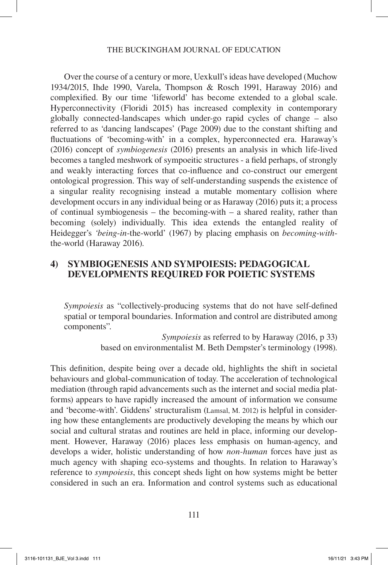Over the course of a century or more, Uexkull's ideas have developed (Muchow 1934/2015, Ihde 1990, Varela, Thompson & Rosch 1991, Haraway 2016) and complexified. By our time 'lifeworld' has become extended to a global scale. Hyperconnectivity (Floridi 2015) has increased complexity in contemporary globally connected-landscapes which under-go rapid cycles of change – also referred to as 'dancing landscapes' (Page 2009) due to the constant shifting and fluctuations of 'becoming-with' in a complex, hyperconnected era. Haraway's (2016) concept of *symbiogenesis* (2016) presents an analysis in which life-lived becomes a tangled meshwork of sympoeitic structures - a field perhaps, of strongly and weakly interacting forces that co-influence and co-construct our emergent ontological progression. This way of self-understanding suspends the existence of a singular reality recognising instead a mutable momentary collision where development occurs in any individual being or as Haraway (2016) puts it; a process of continual symbiogenesis – the becoming-with – a shared reality, rather than becoming (solely) individually. This idea extends the entangled reality of Heidegger's *'being*-*in*-the-world' (1967) by placing emphasis on *becoming*-*with*the-world (Haraway 2016).

### **4) SYMBIOGENESIS AND SYMPOIESIS: PEDAGOGICAL DEVELOPMENTS REQUIRED FOR POIETIC SYSTEMS**

*Sympoiesis* as "collectively-producing systems that do not have self-defined spatial or temporal boundaries. Information and control are distributed among components".

> *Sympoiesis* as referred to by Haraway (2016, p 33) based on environmentalist M. Beth Dempster's terminology (1998).

This definition, despite being over a decade old, highlights the shift in societal behaviours and global-communication of today. The acceleration of technological mediation (through rapid advancements such as the internet and social media platforms) appears to have rapidly increased the amount of information we consume and 'become-with'. Giddens' structuralism (Lamsal, M. 2012) is helpful in considering how these entanglements are productively developing the means by which our social and cultural stratas and routines are held in place, informing our development. However, Haraway (2016) places less emphasis on human-agency, and develops a wider, holistic understanding of how *non-human* forces have just as much agency with shaping eco-systems and thoughts. In relation to Haraway's reference to *sympoiesis*, this concept sheds light on how systems might be better considered in such an era. Information and control systems such as educational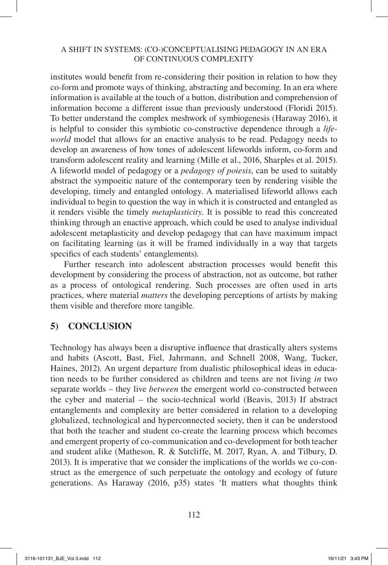institutes would benefit from re-considering their position in relation to how they co-form and promote ways of thinking, abstracting and becoming. In an era where information is available at the touch of a button, distribution and comprehension of information become a different issue than previously understood (Floridi 2015). To better understand the complex meshwork of symbiogenesis (Haraway 2016), it is helpful to consider this symbiotic co-constructive dependence through a *lifeworld* model that allows for an enactive analysis to be read. Pedagogy needs to develop an awareness of how tones of adolescent lifeworlds inform, co-form and transform adolescent reality and learning (Mille et al., 2016, Sharples et al. 2015). A lifeworld model of pedagogy or a *pedagogy of poiesis*, can be used to suitably abstract the sympoeitic nature of the contemporary teen by rendering visible the developing, timely and entangled ontology. A materialised lifeworld allows each individual to begin to question the way in which it is constructed and entangled as it renders visible the timely *metaplasticity.* It is possible to read this concreated thinking through an enactive approach, which could be used to analyse individual adolescent metaplasticity and develop pedagogy that can have maximum impact on facilitating learning (as it will be framed individually in a way that targets specifics of each students' entanglements).

Further research into adolescent abstraction processes would benefit this development by considering the process of abstraction, not as outcome, but rather as a process of ontological rendering. Such processes are often used in arts practices, where material *matters* the developing perceptions of artists by making them visible and therefore more tangible.

# **5) CONCLUSION**

Technology has always been a disruptive influence that drastically alters systems and habits (Ascott, Bast, Fiel, Jahrmann, and Schnell 2008, Wang, Tucker, Haines, 2012). An urgent departure from dualistic philosophical ideas in education needs to be further considered as children and teens are not living *in* two separate worlds – they live *between* the emergent world co-constructed between the cyber and material – the socio-technical world (Beavis, 2013) If abstract entanglements and complexity are better considered in relation to a developing globalized, technological and hyperconnected society, then it can be understood that both the teacher and student co-create the learning process which becomes and emergent property of co-communication and co-development for both teacher and student alike (Matheson, R. & Sutcliffe, M. 2017, Ryan, A. and Tilbury, D. 2013). It is imperative that we consider the implications of the worlds we co-construct as the emergence of such perpetuate the ontology and ecology of future generations. As Haraway (2016, p35) states 'It matters what thoughts think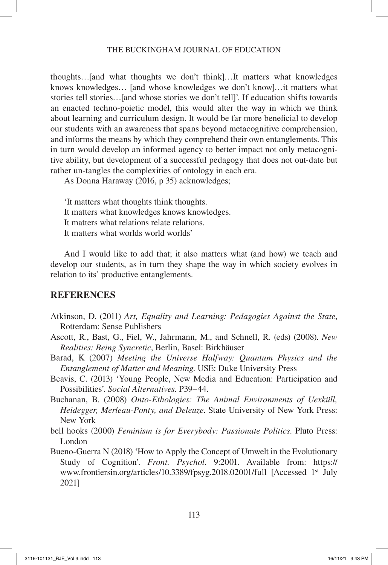thoughts…[and what thoughts we don't think]…It matters what knowledges knows knowledges… [and whose knowledges we don't know]…it matters what stories tell stories…[and whose stories we don't tell]'. If education shifts towards an enacted techno-poietic model, this would alter the way in which we think about learning and curriculum design. It would be far more beneficial to develop our students with an awareness that spans beyond metacognitive comprehension, and informs the means by which they comprehend their own entanglements. This in turn would develop an informed agency to better impact not only metacognitive ability, but development of a successful pedagogy that does not out-date but rather un-tangles the complexities of ontology in each era.

As Donna Haraway (2016, p 35) acknowledges;

'It matters what thoughts think thoughts. It matters what knowledges knows knowledges. It matters what relations relate relations. It matters what worlds world worlds'

And I would like to add that; it also matters what (and how) we teach and develop our students, as in turn they shape the way in which society evolves in relation to its' productive entanglements.

## **REFERENCES**

- Atkinson, D. (2011) *Art, Equality and Learning: Pedagogies Against the State*, Rotterdam: Sense Publishers
- Ascott, R., Bast, G., Fiel, W., Jahrmann, M., and Schnell, R. (eds) (2008). *New Realities: Being Syncretic*, Berlin, Basel: Birkhäuser
- Barad, K (2007) *Meeting the Universe Halfway: Quantum Physics and the Entanglement of Matter and Meaning*. USE: Duke University Press
- Beavis, C. (2013) 'Young People, New Media and Education: Participation and Possibilities'. *Social Alternatives*. P39–44.
- Buchanan, B. (2008) *Onto-Ethologies: The Animal Environments of Uexküll, Heidegger, Merleau-Ponty, and Deleuze*. State University of New York Press: New York
- bell hooks (2000) *Feminism is for Everybody: Passionate Politics*. Pluto Press: London
- Bueno-Guerra N (2018) 'How to Apply the Concept of Umwelt in the Evolutionary Study of Cognition'. *Front. Psychol*. 9:2001. Available from: https:// www.frontiersin.org/articles/10.3389/fpsyg.2018.02001/full [Accessed 1st July 2021]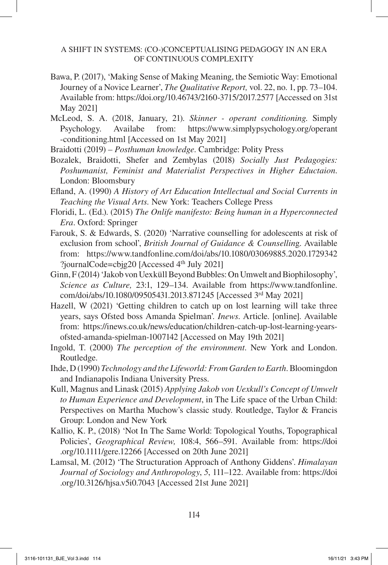- Bawa, P. (2017), 'Making Sense of Making Meaning, the Semiotic Way: Emotional Journey of a Novice Learner', *The Qualitative Report,* vol. 22, no. 1, pp. 73–104. Available from: https://doi.org/10.46743/2160-3715/2017.2577 [Accessed on 31st May 2021]
- McLeod, S. A. (2018, January, 21). *Skinner operant conditioning*. Simply Psychology. Availabe from: https://www.simplypsychology.org/operant -conditioning.html [Accessed on 1st May 2021]
- Braidotti (2019) *Posthuman knowledge*. Cambridge: Polity Press
- Bozalek, Braidotti, Shefer and Zembylas (2018) *Socially Just Pedagogies: Poshumanist, Feminist and Materialist Perspectives in Higher Eductaion*. London: Bloomsbury
- Efland, A. (1990) *A History of Art Education Intellectual and Social Currents in Teaching the Visual Arts.* New York: Teachers College Press
- Floridi, L. (Ed.). (2015) *The Onlife manifesto: Being human in a Hyperconnected Era*. Oxford: Springer
- Farouk, S. & Edwards, S. (2020) 'Narrative counselling for adolescents at risk of exclusion from school', *British Journal of Guidance & Counsellin*g. Available from: https://www.tandfonline.com/doi/abs/10.1080/03069885.2020.1729342 ?journalCode=cbjg20 [Accessed 4<sup>th</sup> July 2021]
- Ginn, F (2014) 'Jakob von Uexküll Beyond Bubbles: On Umwelt and Biophilosophy', *Science as Culture,* 23:1, 129–134. Available from https://www.tandfonline. com/doi/abs/10.1080/09505431.2013.871245 [Accessed 3rd May 2021]
- Hazell, W (2021) 'Getting children to catch up on lost learning will take three years, says Ofsted boss Amanda Spielman'*. Inews*. Article. [online]. Available from: https://inews.co.uk/news/education/children-catch-up-lost-learning-yearsofsted-amanda-spielman-1007142 [Accessed on May 19th 2021]
- Ingold, T. (2000) *The perception of the environment*. New York and London. Routledge.
- Ihde, D (1990) *Technology and the Lifeworld: From Garden to Earth*. Bloomingdon and Indianapolis Indiana University Press.
- Kull, Magnus and Linask (2015) *Applying Jakob von Uexkull's Concept of Umwelt to Human Experience and Development*, in The Life space of the Urban Child: Perspectives on Martha Muchow's classic study. Routledge, Taylor & Francis Group: London and New York
- Kallio, K. P., (2018) 'Not In The Same World: Topological Youths, Topographical Policies', *Geographical Review,* 108:4, 566–591. Available from: https://doi .org/10.1111/gere.12266 [Accessed on 20th June 2021]
- Lamsal, M. (2012) 'The Structuration Approach of Anthony Giddens'. *Himalayan Journal of Sociology and Anthropology*, *5*, 111–122. Available from: https://doi .org/10.3126/hjsa.v5i0.7043 [Accessed 21st June 2021]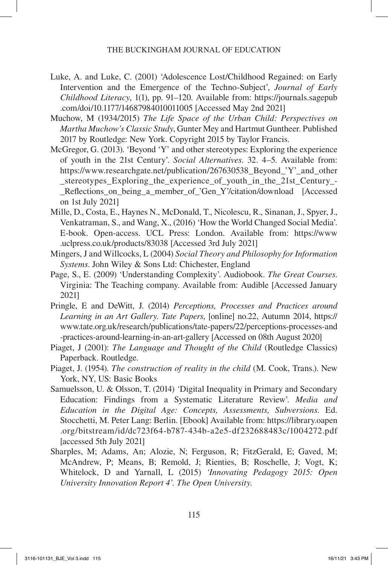- Luke, A. and Luke, C. (2001) 'Adolescence Lost/Childhood Regained: on Early Intervention and the Emergence of the Techno-Subject', *Journal of Early Childhood Literacy*, 1(1), pp. 91–120. Available from: https://journals.sagepub .com/doi/10.1177/14687984010011005 [Accessed May 2nd 2021]
- Muchow, M (1934/2015) *The Life Space of the Urban Child: Perspectives on Martha Muchow's Classic Study*, Gunter Mey and Hartmut Guntheer. Published 2017 by Routledge: New York. Copyright 2015 by Taylor Francis.
- McGregor, G. (2013). 'Beyond 'Y' and other stereotypes: Exploring the experience of youth in the 21st Century'. *Social Alternatives*. 32. 4–5. Available from: https://www.researchgate.net/publication/267630538\_Beyond\_'Y'\_and\_other stereotypes Exploring the experience of youth in the 21st Century -Reflections on being a member of 'Gen Y'/citation/download [Accessed] on 1st July 2021]
- Mille, D., Costa, E., Haynes N., McDonald, T., Nicolescu, R., Sinanan, J., Spyer, J., Venkatraman, S., and Wang, X., (2016) 'How the World Changed Social Media'. E-book. Open-access. UCL Press: London. Available from: https://www .uclpress.co.uk/products/83038 [Accessed 3rd July 2021]
- Mingers, J and Willcocks, L (2004) *Social Theory and Philosophy for Information Systems*. John Wiley & Sons Ltd: Chichester, England
- Page, S., E. (2009) 'Understanding Complexity'. Audiobook. *The Great Courses*. Virginia: The Teaching company. Available from: Audible [Accessed January 2021]
- Pringle, E and DeWitt, J. (2014) *Perceptions, Processes and Practices around Learning in an Art Gallery*. *Tate Papers*, [online] no.22, Autumn 2014, https:// www.tate.org.uk/research/publications/tate-papers/22/perceptions-processes-and -practices-around-learning-in-an-art-gallery [Accessed on 08th August 2020]
- Piaget, J (2001): *The Language and Thought of the Child* (Routledge Classics) Paperback. Routledge.
- Piaget, J. (1954). *The construction of reality in the child* (M. Cook, Trans.). New York, NY, US: Basic Books
- Samuelsson, U. & Olsson, T. (2014) *'*Digital Inequality in Primary and Secondary Education: Findings from a Systematic Literature Review'. *Media and Education in the Digital Age: Concepts, Assessments, Subversions.* Ed. Stocchetti, M. Peter Lang: Berlin. [Ebook] Available from: https://library.oapen .org/bitstream/id/dc723f64-b787-434b-a2e5-df232688483c/1004272.pdf [accessed 5th July 2021]
- Sharples, M; Adams, An; Alozie, N; Ferguson, R; FitzGerald, E; Gaved, M; McAndrew, P; Means, B; Remold, J; Rienties, B; Roschelle, J; Vogt, K; Whitelock, D and Yarnall, L (2015) *'Innovating Pedagogy 2015: Open University Innovation Report 4'. The Open University*.